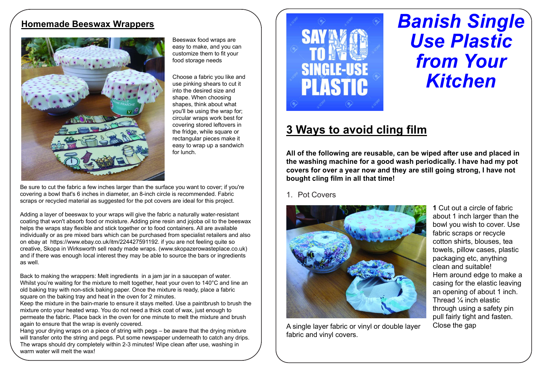## Homemade Beeswax Wrappers



Beeswax food wraps are easy to make, and you can customize them to fit your food storage needs

use pinking shears to cut it into the desired size and shape. When choosing shapes, think about what you'll be using the wrap for; circular wraps work best for covering stored leftovers in the fridge, while square or rectangular pieces make it easy to wrap up a sandwich for lunch.

Be sure to cut the fabric a few inches larger than the surface you want to cover; if you're covering a bowl that's 6 inches in diameter, an 8-inch circle is recommended. Fabric scraps or recycled material as suggested for the pot covers are ideal for this project.

Adding a layer of beeswax to your wraps will give the fabric a naturally water-resistant coating that won't absorb food or moisture. Adding pine resin and jojoba oil to the beeswax helps the wraps stay flexible and stick together or to food containers. All are available individually or as pre mixed bars which can be purchased from specialist retailers and also on ebay at https://www.ebay.co.uk/itm/224427591192. if you are not feeling quite so creative, Skopa in Wirksworth sell ready made wraps. (www.skopazerowasteplace.co.uk) and if there was enough local interest they may be able to source the bars or ingredients as well.

Back to making the wrappers: Melt ingredients in a jam jar in a saucepan of water. Whilst you're waiting for the mixture to melt together, heat your oven to 140°C and line an old baking tray with non-stick baking paper. Once the mixture is ready, place a fabric square on the baking tray and heat in the oven for 2 minutes.

Keep the mixture in the bain-marie to ensure it stays melted. Use a paintbrush to brush the mixture onto your heated wrap. You do not need a thick coat of wax, just enough to permeate the fabric. Place back in the oven for one minute to melt the mixture and brush again to ensure that the wrap is evenly covered.

Hang your drying wraps on a piece of string with pegs – be aware that the drying mixture will transfer onto the string and pegs. Put some newspaper underneath to catch any drips. The wraps should dry completely within 2-3 minutes! Wipe clean after use, washing in warm water will melt the wax!



# Banish Single Use Plastic from Your Kitchen

# 3 Ways to avoid cling film

All of the following are reusable, can be wiped after use and placed in the washing machine for a good wash periodically. I have had my pot covers for over a year now and they are still going strong, I have not bought cling film in all that time!

#### 1. Pot Covers



A single layer fabric or vinyl or double layer fabric and vinyl covers.

1 Cut out a circle of fabric about 1 inch larger than the bowl you wish to cover. Use fabric scraps or recycle cotton shirts, blouses, tea towels, pillow cases, plastic packaging etc, anything clean and suitable! Hem around edge to make a casing for the elastic leaving an opening of about 1 inch. Thread ¼ inch elastic through using a safety pin pull fairly tight and fasten. Close the gap